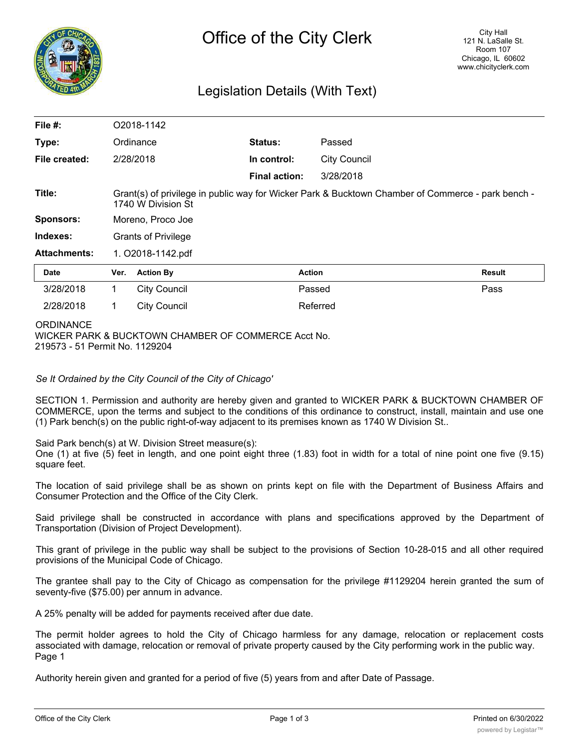

# Legislation Details (With Text)

| File #:             |                                                                                                                         | O2018-1142          |                      |                     |        |
|---------------------|-------------------------------------------------------------------------------------------------------------------------|---------------------|----------------------|---------------------|--------|
| Type:               |                                                                                                                         | Ordinance           | Status:              | Passed              |        |
| File created:       |                                                                                                                         | 2/28/2018           | In control:          | <b>City Council</b> |        |
|                     |                                                                                                                         |                     | <b>Final action:</b> | 3/28/2018           |        |
| Title:              | Grant(s) of privilege in public way for Wicker Park & Bucktown Chamber of Commerce - park bench -<br>1740 W Division St |                     |                      |                     |        |
| <b>Sponsors:</b>    | Moreno, Proco Joe                                                                                                       |                     |                      |                     |        |
| Indexes:            | <b>Grants of Privilege</b>                                                                                              |                     |                      |                     |        |
| <b>Attachments:</b> | 1. O2018-1142.pdf                                                                                                       |                     |                      |                     |        |
| <b>Date</b>         | Ver.                                                                                                                    | <b>Action By</b>    | <b>Action</b>        |                     | Result |
| 3/28/2018           | 1                                                                                                                       | <b>City Council</b> |                      | Passed              | Pass   |
| 2/28/2018           | 1                                                                                                                       | <b>City Council</b> |                      | Referred            |        |
|                     |                                                                                                                         |                     |                      |                     |        |

#### **ORDINANCE**

WICKER PARK & BUCKTOWN CHAMBER OF COMMERCE Acct No. 219573 - 51 Permit No. 1129204

## *Se It Ordained by the City Council of the City of Chicago'*

SECTION 1. Permission and authority are hereby given and granted to WICKER PARK & BUCKTOWN CHAMBER OF COMMERCE, upon the terms and subject to the conditions of this ordinance to construct, install, maintain and use one (1) Park bench(s) on the public right-of-way adjacent to its premises known as 1740 W Division St..

Said Park bench(s) at W. Division Street measure(s):

One (1) at five (5) feet in length, and one point eight three (1.83) foot in width for a total of nine point one five (9.15) square feet.

The location of said privilege shall be as shown on prints kept on file with the Department of Business Affairs and Consumer Protection and the Office of the City Clerk.

Said privilege shall be constructed in accordance with plans and specifications approved by the Department of Transportation (Division of Project Development).

This grant of privilege in the public way shall be subject to the provisions of Section 10-28-015 and all other required provisions of the Municipal Code of Chicago.

The grantee shall pay to the City of Chicago as compensation for the privilege #1129204 herein granted the sum of seventy-five (\$75.00) per annum in advance.

A 25% penalty will be added for payments received after due date.

The permit holder agrees to hold the City of Chicago harmless for any damage, relocation or replacement costs associated with damage, relocation or removal of private property caused by the City performing work in the public way. Page 1

Authority herein given and granted for a period of five (5) years from and after Date of Passage.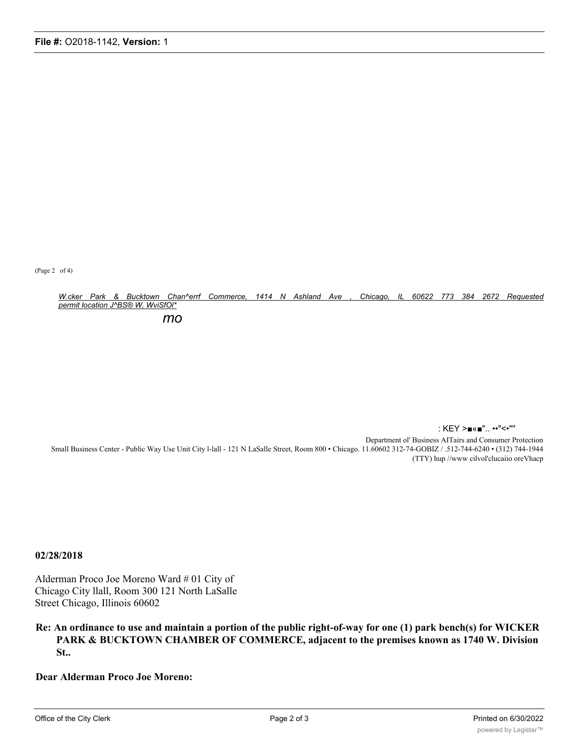(Page 2 of 4)

W.cker Park & Bucktown Chan^errf Commerce, 1414 N Ashland Ave , Chicago, IL 60622 773 384 2672 Requested *permit location J^BS® W, WviSfOl\**

*mo*

: KEY >■«■".. ••"<•"'' Department ol' Business AITairs and Consumer Protection Small Business Center - Public Way Use Unit City l-lall - 121 N LaSalle Street, Room 800 • Chicago. 11.60602 312-74-GOBIZ / .512-744-6240 • (312) 744-1944 (TTY) hup //www cilvol'clucaiio oreVhacp

### **02/28/2018**

Alderman Proco Joe Moreno Ward # 01 City of Chicago City llall, Room 300 121 North LaSalle Street Chicago, Illinois 60602

## **Re: An ordinance to use and maintain a portion of the public right-of-way for one (1) park bench(s) for WICKER PARK & BUCKTOWN CHAMBER OF COMMERCE, adjacent to the premises known as 1740 W. Division St..**

**Dear Alderman Proco Joe Moreno:**